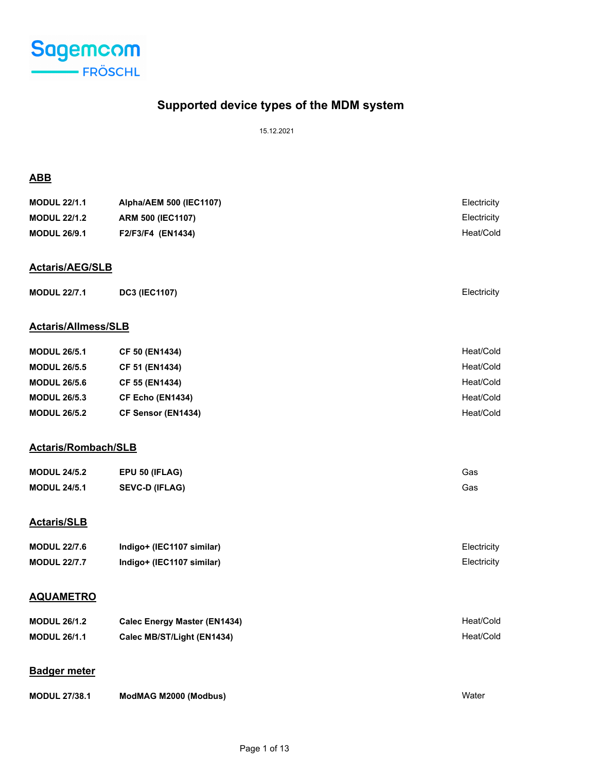

# **Supported device types of the MDM system**

15.12.2021

# **ABB**

| <b>MODUL 22/1.1</b>        | Alpha/AEM 500 (IEC1107)  | Electricity |
|----------------------------|--------------------------|-------------|
| <b>MODUL 22/1.2</b>        | <b>ARM 500 (IEC1107)</b> | Electricity |
| <b>MODUL 26/9.1</b>        | F2/F3/F4 (EN1434)        | Heat/Cold   |
|                            |                          |             |
| <b>Actaris/AEG/SLB</b>     |                          |             |
| <b>MODUL 22/7.1</b>        | <b>DC3 (IEC1107)</b>     | Electricity |
|                            |                          |             |
| <b>Actaris/Allmess/SLB</b> |                          |             |
| <b>MODUL 26/5.1</b>        | <b>CF 50 (EN1434)</b>    | Heat/Cold   |
| <b>MODUL 26/5.5</b>        | CF 51 (EN1434)           | Heat/Cold   |
| <b>MODUL 26/5.6</b>        | CF 55 (EN1434)           | Heat/Cold   |
| <b>MODUL 26/5.3</b>        | <b>CF Echo (EN1434)</b>  | Heat/Cold   |
| <b>MODUL 26/5.2</b>        | CF Sensor (EN1434)       | Heat/Cold   |
|                            |                          |             |
| <b>Actaris/Rombach/SLB</b> |                          |             |

| <b>MODUL 24/5.2</b> | EPU 50 (IFLAG)        | Gas |
|---------------------|-----------------------|-----|
| <b>MODUL 24/5.1</b> | <b>SEVC-D (IFLAG)</b> | Gas |

# **Actaris/SLB**

| <b>MODUL 22/7.6</b> | Indigo+ (IEC1107 similar) | Electricity |
|---------------------|---------------------------|-------------|
| <b>MODUL 22/7.7</b> | Indigo+ (IEC1107 similar) | Electricity |

## **AQUAMETRO**

| <b>MODUL 26/1.2</b> | <b>Calec Energy Master (EN1434)</b> | Heat/Cold |
|---------------------|-------------------------------------|-----------|
| <b>MODUL 26/1.1</b> | Calec MB/ST/Light (EN1434)          | Heat/Cold |

## **Badger meter**

| <b>MODUL 27/38.1</b> | ModMAG M2000 (Modbus) | Water |
|----------------------|-----------------------|-------|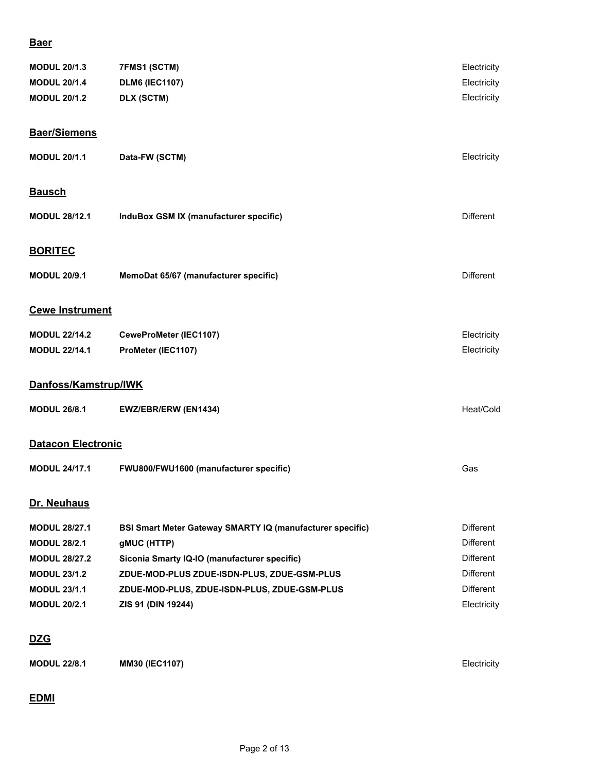## **Baer**

| <b>MODUL 20/1.3</b>       | 7FMS1 (SCTM)                                                     | Electricity      |
|---------------------------|------------------------------------------------------------------|------------------|
| <b>MODUL 20/1.4</b>       | <b>DLM6 (IEC1107)</b>                                            | Electricity      |
| <b>MODUL 20/1.2</b>       | DLX (SCTM)                                                       | Electricity      |
|                           |                                                                  |                  |
| <b>Baer/Siemens</b>       |                                                                  |                  |
| <b>MODUL 20/1.1</b>       | Data-FW (SCTM)                                                   | Electricity      |
| <b>Bausch</b>             |                                                                  |                  |
|                           |                                                                  |                  |
| <b>MODUL 28/12.1</b>      | InduBox GSM IX (manufacturer specific)                           | <b>Different</b> |
| <b>BORITEC</b>            |                                                                  |                  |
|                           |                                                                  |                  |
| <b>MODUL 20/9.1</b>       | MemoDat 65/67 (manufacturer specific)                            | Different        |
| <b>Cewe Instrument</b>    |                                                                  |                  |
| <b>MODUL 22/14.2</b>      | CeweProMeter (IEC1107)                                           | Electricity      |
| <b>MODUL 22/14.1</b>      | ProMeter (IEC1107)                                               | Electricity      |
|                           |                                                                  |                  |
| Danfoss/Kamstrup/IWK      |                                                                  |                  |
| <b>MODUL 26/8.1</b>       | EWZ/EBR/ERW (EN1434)                                             | Heat/Cold        |
| <b>Datacon Electronic</b> |                                                                  |                  |
|                           |                                                                  |                  |
| <b>MODUL 24/17.1</b>      | FWU800/FWU1600 (manufacturer specific)                           | Gas              |
| Dr. Neuhaus               |                                                                  |                  |
| <b>MODUL 28/27.1</b>      | <b>BSI Smart Meter Gateway SMARTY IQ (manufacturer specific)</b> | Different        |
| <b>MODUL 28/2.1</b>       | gMUC (HTTP)                                                      | <b>Different</b> |
| <b>MODUL 28/27.2</b>      | Siconia Smarty IQ-IO (manufacturer specific)                     | <b>Different</b> |
| <b>MODUL 23/1.2</b>       | ZDUE-MOD-PLUS ZDUE-ISDN-PLUS, ZDUE-GSM-PLUS                      | <b>Different</b> |
| <b>MODUL 23/1.1</b>       | ZDUE-MOD-PLUS, ZDUE-ISDN-PLUS, ZDUE-GSM-PLUS                     | <b>Different</b> |
| <b>MODUL 20/2.1</b>       | ZIS 91 (DIN 19244)                                               | Electricity      |
| <u>DZG</u>                |                                                                  |                  |
| <b>MODUL 22/8.1</b>       | MM30 (IEC1107)                                                   | Electricity      |
|                           |                                                                  |                  |
|                           |                                                                  |                  |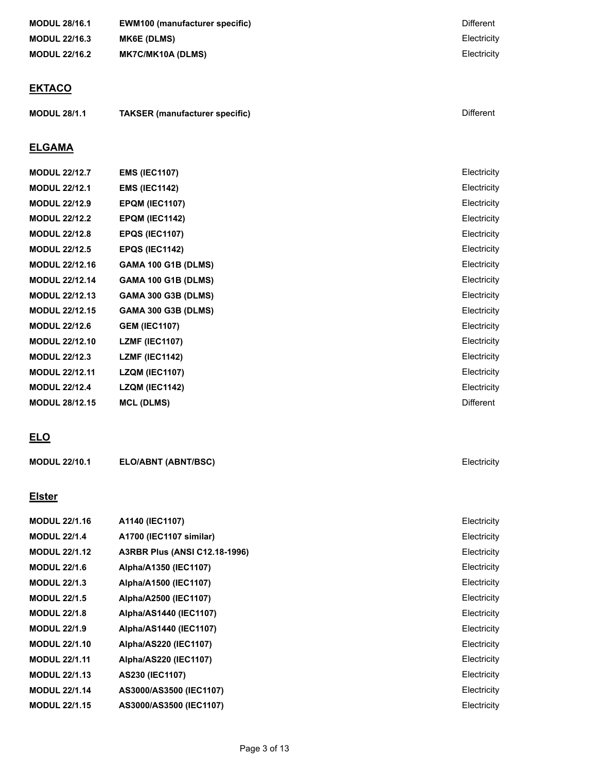| <b>MODUL 28/16.1</b>  | <b>EWM100 (manufacturer specific)</b> | <b>Different</b> |
|-----------------------|---------------------------------------|------------------|
| <b>MODUL 22/16.3</b>  | <b>MK6E (DLMS)</b>                    | Electricity      |
| <b>MODUL 22/16.2</b>  | <b>MK7C/MK10A (DLMS)</b>              | Electricity      |
|                       |                                       |                  |
| <b>EKTACO</b>         |                                       |                  |
| <b>MODUL 28/1.1</b>   | <b>TAKSER</b> (manufacturer specific) | <b>Different</b> |
| <b>ELGAMA</b>         |                                       |                  |
| <b>MODUL 22/12.7</b>  | <b>EMS (IEC1107)</b>                  | Electricity      |
| <b>MODUL 22/12.1</b>  | <b>EMS (IEC1142)</b>                  | Electricity      |
| <b>MODUL 22/12.9</b>  | <b>EPQM (IEC1107)</b>                 | Electricity      |
| <b>MODUL 22/12.2</b>  | <b>EPQM (IEC1142)</b>                 | Electricity      |
| <b>MODUL 22/12.8</b>  | <b>EPQS (IEC1107)</b>                 | Electricity      |
| <b>MODUL 22/12.5</b>  | <b>EPQS (IEC1142)</b>                 | Electricity      |
| <b>MODUL 22/12.16</b> | <b>GAMA 100 G1B (DLMS)</b>            | Electricity      |

# **MODUL 22/12.14 GAMA 100 G1B (DLMS)** Electricity **MODUL 22/12.13 GAMA 300 G3B (DLMS)** Electricity **MODUL 22/12.15 GAMA 300 G3B (DLMS)** Electricity **MODUL 22/12.6 GEM (IEC1107)** Electricity **MODUL 22/12.10 LZMF (IEC1107)** Electricity **MODUL 22/12.3 LZMF (IEC1142)** Electricity **MODUL 22/12.11 LZQM (IEC1107)** Electricity **MODUL 22/12.4 LZQM (IEC1142)** Electricity

# **ELO**

| <b>MODUL 22/10.1</b> | <b>ELO/ABNT (ABNT/BSC)</b> | Electricity |
|----------------------|----------------------------|-------------|
|                      |                            |             |

**MODUL 28/12.15 MCL (DLMS)** Different

### **Elster**

| A1140 (IEC1107)                      | Electricity |
|--------------------------------------|-------------|
| A1700 (IEC1107 similar)              | Electricity |
| <b>A3RBR Plus (ANSI C12.18-1996)</b> | Electricity |
| Alpha/A1350 (IEC1107)                | Electricity |
| Alpha/A1500 (IEC1107)                | Electricity |
| Alpha/A2500 (IEC1107)                | Electricity |
| Alpha/AS1440 (IEC1107)               | Electricity |
| Alpha/AS1440 (IEC1107)               | Electricity |
| Alpha/AS220 (IEC1107)                | Electricity |
| Alpha/AS220 (IEC1107)                | Electricity |
| AS230 (IEC1107)                      | Electricity |
| AS3000/AS3500 (IEC1107)              | Electricity |
| AS3000/AS3500 (IEC1107)              | Electricity |
|                                      |             |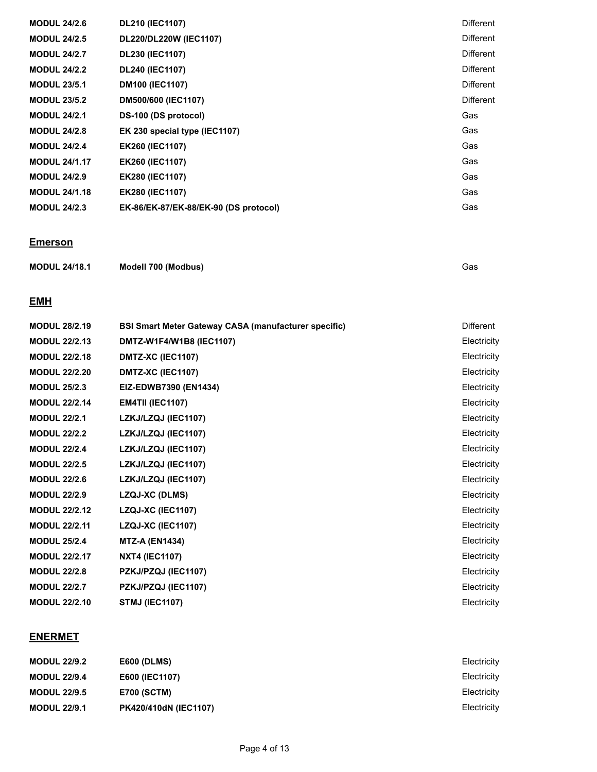| <b>MODUL 24/2.6</b>  | <b>DL210 (IEC1107)</b>                | <b>Different</b> |
|----------------------|---------------------------------------|------------------|
| <b>MODUL 24/2.5</b>  | DL220/DL220W (IEC1107)                | <b>Different</b> |
| <b>MODUL 24/2.7</b>  | DL230 (IEC1107)                       | Different        |
| <b>MODUL 24/2.2</b>  | DL240 (IEC1107)                       | Different        |
| <b>MODUL 23/5.1</b>  | <b>DM100 (IEC1107)</b>                | <b>Different</b> |
| <b>MODUL 23/5.2</b>  | DM500/600 (IEC1107)                   | Different        |
| <b>MODUL 24/2.1</b>  | DS-100 (DS protocol)                  | Gas              |
| <b>MODUL 24/2.8</b>  | EK 230 special type (IEC1107)         | Gas              |
| <b>MODUL 24/2.4</b>  | <b>EK260 (IEC1107)</b>                | Gas              |
| <b>MODUL 24/1.17</b> | <b>EK260 (IEC1107)</b>                | Gas              |
| <b>MODUL 24/2.9</b>  | <b>EK280 (IEC1107)</b>                | Gas              |
| <b>MODUL 24/1.18</b> | <b>EK280 (IEC1107)</b>                | Gas              |
| <b>MODUL 24/2.3</b>  | EK-86/EK-87/EK-88/EK-90 (DS protocol) | Gas              |

# **Emerson**

| <b>MODUL 24/18.1</b> | Modell 700 (Modbus) | Gas |
|----------------------|---------------------|-----|
|----------------------|---------------------|-----|

## **EMH**

| <b>MODUL 28/2.19</b> | <b>BSI Smart Meter Gateway CASA (manufacturer specific)</b> | Different   |
|----------------------|-------------------------------------------------------------|-------------|
| <b>MODUL 22/2.13</b> | DMTZ-W1F4/W1B8 (IEC1107)                                    | Electricity |
| <b>MODUL 22/2.18</b> | DMTZ-XC (IEC1107)                                           | Electricity |
| <b>MODUL 22/2.20</b> | DMTZ-XC (IEC1107)                                           | Electricity |
| <b>MODUL 25/2.3</b>  | EIZ-EDWB7390 (EN1434)                                       | Electricity |
| <b>MODUL 22/2.14</b> | <b>EM4TII (IEC1107)</b>                                     | Electricity |
| <b>MODUL 22/2.1</b>  | LZKJ/LZQJ (IEC1107)                                         | Electricity |
| <b>MODUL 22/2.2</b>  | LZKJ/LZQJ (IEC1107)                                         | Electricity |
| <b>MODUL 22/2.4</b>  | LZKJ/LZQJ (IEC1107)                                         | Electricity |
| <b>MODUL 22/2.5</b>  | LZKJ/LZQJ (IEC1107)                                         | Electricity |
| <b>MODUL 22/2.6</b>  | LZKJ/LZQJ (IEC1107)                                         | Electricity |
| <b>MODUL 22/2.9</b>  | <b>LZQJ-XC (DLMS)</b>                                       | Electricity |
| <b>MODUL 22/2.12</b> | LZQJ-XC (IEC1107)                                           | Electricity |
| <b>MODUL 22/2.11</b> | LZQJ-XC (IEC1107)                                           | Electricity |
| <b>MODUL 25/2.4</b>  | <b>MTZ-A (EN1434)</b>                                       | Electricity |
| <b>MODUL 22/2.17</b> | <b>NXT4 (IEC1107)</b>                                       | Electricity |
| <b>MODUL 22/2.8</b>  | PZKJ/PZQJ (IEC1107)                                         | Electricity |
| <b>MODUL 22/2.7</b>  | PZKJ/PZQJ (IEC1107)                                         | Electricity |
| <b>MODUL 22/2.10</b> | <b>STMJ (IEC1107)</b>                                       | Electricity |
|                      |                                                             |             |

## **ENERMET**

| <b>MODUL 22/9.2</b> | <b>E600 (DLMS)</b>           | Electricity |
|---------------------|------------------------------|-------------|
| <b>MODUL 22/9.4</b> | E600 (IEC1107)               | Electricity |
| <b>MODUL 22/9.5</b> | <b>E700 (SCTM)</b>           | Electricity |
| <b>MODUL 22/9.1</b> | <b>PK420/410dN (IEC1107)</b> | Electricity |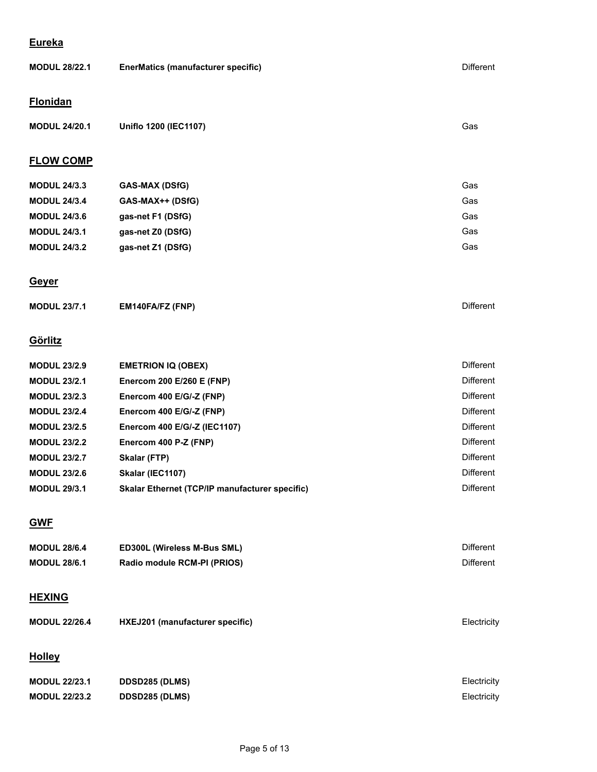## **Eureka**

| <b>MODUL 28/22.1</b> | <b>EnerMatics (manufacturer specific)</b>             | <b>Different</b> |
|----------------------|-------------------------------------------------------|------------------|
| <b>Flonidan</b>      |                                                       |                  |
| <b>MODUL 24/20.1</b> | Uniflo 1200 (IEC1107)                                 | Gas              |
| <b>FLOW COMP</b>     |                                                       |                  |
| <b>MODUL 24/3.3</b>  | <b>GAS-MAX (DSfG)</b>                                 | Gas              |
| <b>MODUL 24/3.4</b>  | GAS-MAX++ (DSfG)                                      | Gas              |
| <b>MODUL 24/3.6</b>  | gas-net F1 (DSfG)                                     | Gas              |
| <b>MODUL 24/3.1</b>  | gas-net Z0 (DSfG)                                     | Gas              |
| <b>MODUL 24/3.2</b>  | gas-net Z1 (DSfG)                                     | Gas              |
| <b>Geyer</b>         |                                                       |                  |
| <b>MODUL 23/7.1</b>  | EM140FA/FZ (FNP)                                      | <b>Different</b> |
| Görlitz              |                                                       |                  |
| <b>MODUL 23/2.9</b>  | <b>EMETRION IQ (OBEX)</b>                             | Different        |
| <b>MODUL 23/2.1</b>  | Enercom 200 E/260 E (FNP)                             | <b>Different</b> |
| <b>MODUL 23/2.3</b>  | Enercom 400 E/G/-Z (FNP)                              | <b>Different</b> |
| <b>MODUL 23/2.4</b>  | Enercom 400 E/G/-Z (FNP)                              | <b>Different</b> |
| <b>MODUL 23/2.5</b>  | Enercom 400 E/G/-Z (IEC1107)                          | <b>Different</b> |
| <b>MODUL 23/2.2</b>  | Enercom 400 P-Z (FNP)                                 | <b>Different</b> |
| <b>MODUL 23/2.7</b>  | Skalar (FTP)                                          | <b>Different</b> |
| <b>MODUL 23/2.6</b>  | Skalar (IEC1107)                                      | Different        |
| <b>MODUL 29/3.1</b>  | <b>Skalar Ethernet (TCP/IP manufacturer specific)</b> | Different        |
| <b>GWF</b>           |                                                       |                  |
| <b>MODUL 28/6.4</b>  | ED300L (Wireless M-Bus SML)                           | Different        |
| <b>MODUL 28/6.1</b>  | Radio module RCM-PI (PRIOS)                           | Different        |
| <b>HEXING</b>        |                                                       |                  |
| <b>MODUL 22/26.4</b> | HXEJ201 (manufacturer specific)                       | Electricity      |

# **Holley**

| <b>MODUL 22/23.1</b> | <b>DDSD285 (DLMS)</b> | Electricity |
|----------------------|-----------------------|-------------|
| <b>MODUL 22/23.2</b> | <b>DDSD285 (DLMS)</b> | Electricity |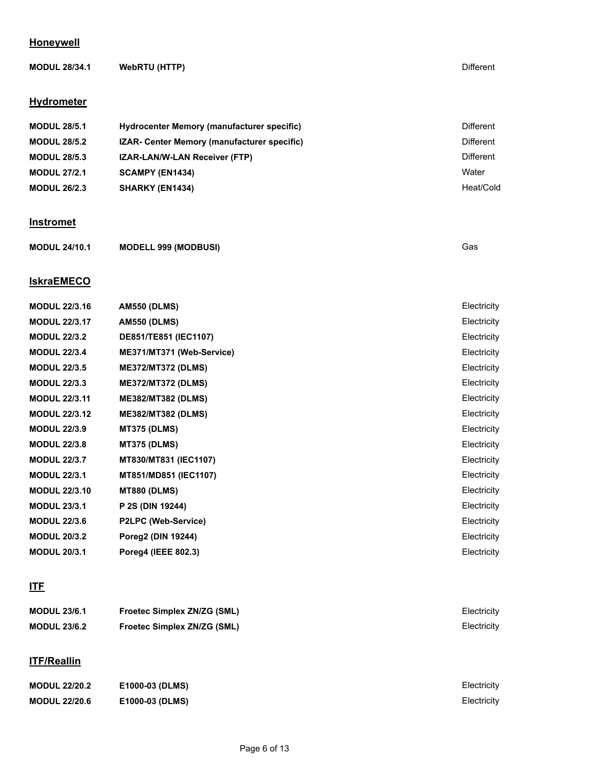## **Honeywell**

| <b>MODUL 28/34.1</b> | <b>WebRTU (HTTP)</b>                        | Different        |
|----------------------|---------------------------------------------|------------------|
| <b>Hydrometer</b>    |                                             |                  |
| <b>MODUL 28/5.1</b>  | Hydrocenter Memory (manufacturer specific)  | <b>Different</b> |
| <b>MODUL 28/5.2</b>  | IZAR- Center Memory (manufacturer specific) | <b>Different</b> |
| <b>MODUL 28/5.3</b>  | IZAR-LAN/W-LAN Receiver (FTP)               | <b>Different</b> |
| <b>MODUL 27/2.1</b>  | SCAMPY (EN1434)                             | Water            |
| <b>MODUL 26/2.3</b>  | SHARKY (EN1434)                             | Heat/Cold        |
| <b>Instromet</b>     |                                             |                  |
| <b>MODUL 24/10.1</b> | <b>MODELL 999 (MODBUSI)</b>                 | Gas              |
| <b>IskraEMECO</b>    |                                             |                  |
| <b>MODUL 22/3.16</b> | <b>AM550 (DLMS)</b>                         | Electricity      |
| <b>MODUL 22/3.17</b> | <b>AM550 (DLMS)</b>                         | Electricity      |
| <b>MODUL 22/3.2</b>  | DE851/TE851 (IEC1107)                       | Electricity      |
| <b>MODUL 22/3.4</b>  | ME371/MT371 (Web-Service)                   | Electricity      |
| <b>MODUL 22/3.5</b>  | <b>ME372/MT372 (DLMS)</b>                   | Electricity      |
| <b>MODUL 22/3.3</b>  | <b>ME372/MT372 (DLMS)</b>                   | Electricity      |
| <b>MODUL 22/3.11</b> | <b>ME382/MT382 (DLMS)</b>                   | Electricity      |
| <b>MODUL 22/3.12</b> | <b>ME382/MT382 (DLMS)</b>                   | Electricity      |
| <b>MODUL 22/3.9</b>  | <b>MT375 (DLMS)</b>                         | Electricity      |
| <b>MODUL 22/3.8</b>  | <b>MT375 (DLMS)</b>                         | Electricity      |
| <b>MODUL 22/3.7</b>  | MT830/MT831 (IEC1107)                       | Electricity      |
| <b>MODUL 22/3.1</b>  | MT851/MD851 (IEC1107)                       | Electricity      |
| <b>MODUL 22/3.10</b> | <b>MT880 (DLMS)</b>                         | Electricity      |
| <b>MODUL 23/3.1</b>  | P 2S (DIN 19244)                            | Electricity      |
| <b>MODUL 22/3.6</b>  | P2LPC (Web-Service)                         | Electricity      |
| <b>MODUL 20/3.2</b>  | Poreg2 (DIN 19244)                          | Electricity      |
| <b>MODUL 20/3.1</b>  | Poreg4 (IEEE 802.3)                         | Electricity      |

# **ITF**

| <b>MODUL 23/6.1</b> | <b>Froetec Simplex ZN/ZG (SML)</b> | Electricity |
|---------------------|------------------------------------|-------------|
| <b>MODUL 23/6.2</b> | <b>Froetec Simplex ZN/ZG (SML)</b> | Electricity |
|                     |                                    |             |

# **ITF/Reallin**

| <b>MODUL 22/20.2</b> | E1000-03 (DLMS) | Electricity |
|----------------------|-----------------|-------------|
| <b>MODUL 22/20.6</b> | E1000-03 (DLMS) | Electricity |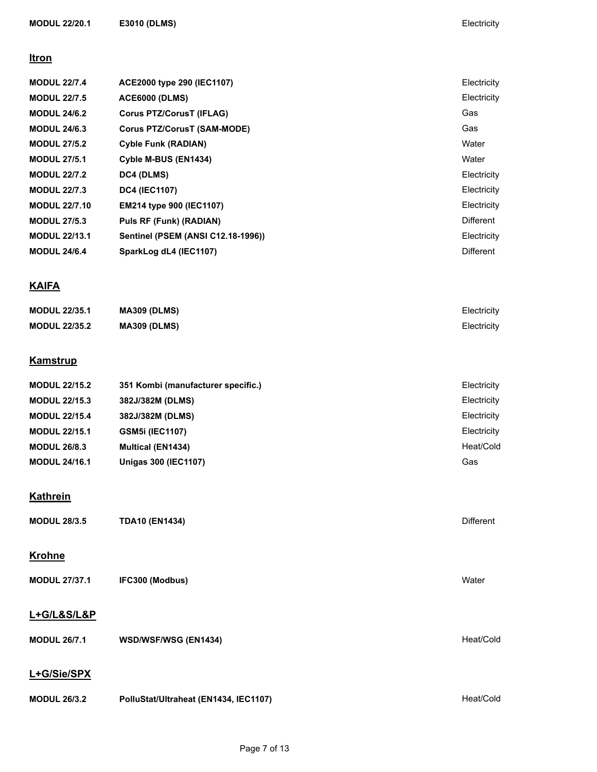#### **Itron**

| ACE2000 type 290 (IEC1107)                | Electricity      |
|-------------------------------------------|------------------|
| <b>ACE6000 (DLMS)</b>                     | Electricity      |
| <b>Corus PTZ/CorusT (IFLAG)</b>           | Gas              |
| Corus PTZ/CorusT (SAM-MODE)               | Gas              |
| <b>Cyble Funk (RADIAN)</b>                | Water            |
| Cyble M-BUS (EN1434)                      | Water            |
| <b>DC4 (DLMS)</b>                         | Electricity      |
| <b>DC4 (IEC1107)</b>                      | Electricity      |
| <b>EM214 type 900 (IEC1107)</b>           | Electricity      |
| Puls RF (Funk) (RADIAN)                   | <b>Different</b> |
| <b>Sentinel (PSEM (ANSI C12.18-1996))</b> | Electricity      |
| SparkLog dL4 (IEC1107)                    | <b>Different</b> |
|                                           |                  |

# **KAIFA**

| <b>MODUL 22/35.1</b> | <b>MA309 (DLMS)</b> | Electricity |
|----------------------|---------------------|-------------|
| <b>MODUL 22/35.2</b> | <b>MA309 (DLMS)</b> | Electricity |

# **Kamstrup**

| <b>MODUL 22/15.2</b> | 351 Kombi (manufacturer specific.) | Electricity |
|----------------------|------------------------------------|-------------|
| <b>MODUL 22/15.3</b> | 382J/382M (DLMS)                   | Electricity |
| <b>MODUL 22/15.4</b> | 382J/382M (DLMS)                   | Electricity |
| <b>MODUL 22/15.1</b> | <b>GSM5i (IEC1107)</b>             | Electricity |
| <b>MODUL 26/8.3</b>  | <b>Multical (EN1434)</b>           | Heat/Cold   |
| <b>MODUL 24/16.1</b> | Unigas 300 (IEC1107)               | Gas         |

# **Kathrein**

| <b>MODUL 28/3.5</b>  | <b>TDA10 (EN1434)</b>                 | <b>Different</b> |
|----------------------|---------------------------------------|------------------|
| <b>Krohne</b>        |                                       |                  |
| <b>MODUL 27/37.1</b> | IFC300 (Modbus)                       | Water            |
| L+G/L&S/L&P          |                                       |                  |
| <b>MODUL 26/7.1</b>  | <b>WSD/WSF/WSG (EN1434)</b>           | Heat/Cold        |
| L+G/Sie/SPX          |                                       |                  |
| <b>MODUL 26/3.2</b>  | PolluStat/Ultraheat (EN1434, IEC1107) | Heat/Cold        |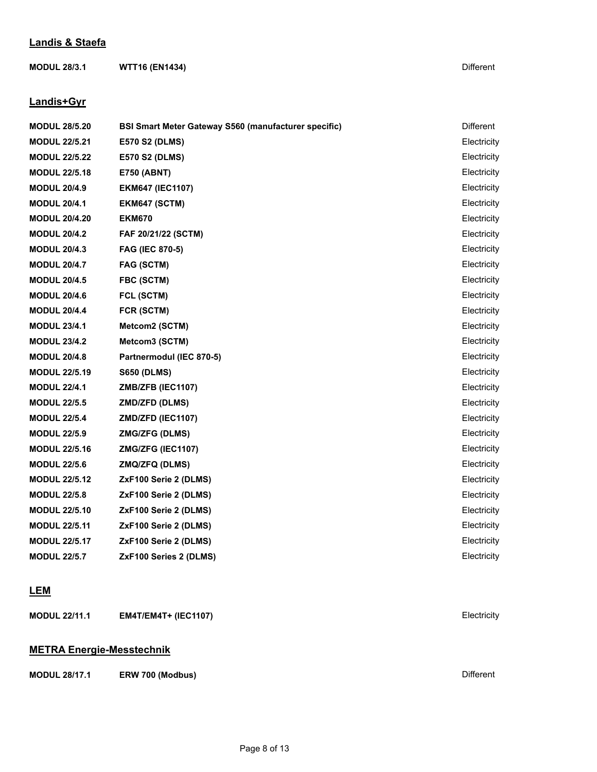#### **Landis & Staefa**

**MODUL 28/3.1 WTT16 (EN1434)** Different

#### **Landis+Gyr**

| <b>MODUL 28/5.20</b> | <b>BSI Smart Meter Gateway S560 (manufacturer specific)</b> | Different   |
|----------------------|-------------------------------------------------------------|-------------|
| <b>MODUL 22/5.21</b> | <b>E570 S2 (DLMS)</b>                                       | Electricity |
| <b>MODUL 22/5.22</b> | <b>E570 S2 (DLMS)</b>                                       | Electricity |
| <b>MODUL 22/5.18</b> | <b>E750 (ABNT)</b>                                          | Electricity |
| <b>MODUL 20/4.9</b>  | <b>EKM647 (IEC1107)</b>                                     | Electricity |
| <b>MODUL 20/4.1</b>  | EKM647 (SCTM)                                               | Electricity |
| <b>MODUL 20/4.20</b> | <b>EKM670</b>                                               | Electricity |
| <b>MODUL 20/4.2</b>  | FAF 20/21/22 (SCTM)                                         | Electricity |
| <b>MODUL 20/4.3</b>  | <b>FAG (IEC 870-5)</b>                                      | Electricity |
| <b>MODUL 20/4.7</b>  | <b>FAG (SCTM)</b>                                           | Electricity |
| <b>MODUL 20/4.5</b>  | FBC (SCTM)                                                  | Electricity |
| <b>MODUL 20/4.6</b>  | FCL (SCTM)                                                  | Electricity |
| <b>MODUL 20/4.4</b>  | FCR (SCTM)                                                  | Electricity |
| <b>MODUL 23/4.1</b>  | Metcom2 (SCTM)                                              | Electricity |
| <b>MODUL 23/4.2</b>  | Metcom3 (SCTM)                                              | Electricity |
| <b>MODUL 20/4.8</b>  | Partnermodul (IEC 870-5)                                    | Electricity |
| <b>MODUL 22/5.19</b> | <b>S650 (DLMS)</b>                                          | Electricity |
| <b>MODUL 22/4.1</b>  | ZMB/ZFB (IEC1107)                                           | Electricity |
| <b>MODUL 22/5.5</b>  | <b>ZMD/ZFD (DLMS)</b>                                       | Electricity |
| <b>MODUL 22/5.4</b>  | ZMD/ZFD (IEC1107)                                           | Electricity |
| <b>MODUL 22/5.9</b>  | <b>ZMG/ZFG (DLMS)</b>                                       | Electricity |
| <b>MODUL 22/5.16</b> | ZMG/ZFG (IEC1107)                                           | Electricity |
| <b>MODUL 22/5.6</b>  | <b>ZMQ/ZFQ (DLMS)</b>                                       | Electricity |
| <b>MODUL 22/5.12</b> | ZxF100 Serie 2 (DLMS)                                       | Electricity |
| <b>MODUL 22/5.8</b>  | ZxF100 Serie 2 (DLMS)                                       | Electricity |
| <b>MODUL 22/5.10</b> | ZxF100 Serie 2 (DLMS)                                       | Electricity |
| <b>MODUL 22/5.11</b> | ZxF100 Serie 2 (DLMS)                                       | Electricity |
| <b>MODUL 22/5.17</b> | ZxF100 Serie 2 (DLMS)                                       | Electricity |
| <b>MODUL 22/5.7</b>  | ZxF100 Series 2 (DLMS)                                      | Electricity |
|                      |                                                             |             |

#### **LEM**

**MODUL 22/11.1 EM4T/EM4T+ (IEC1107)** Electricity

## **METRA Energie-Messtechnik**

**MODUL 28/17.1 ERW 700 (Modbus)** Different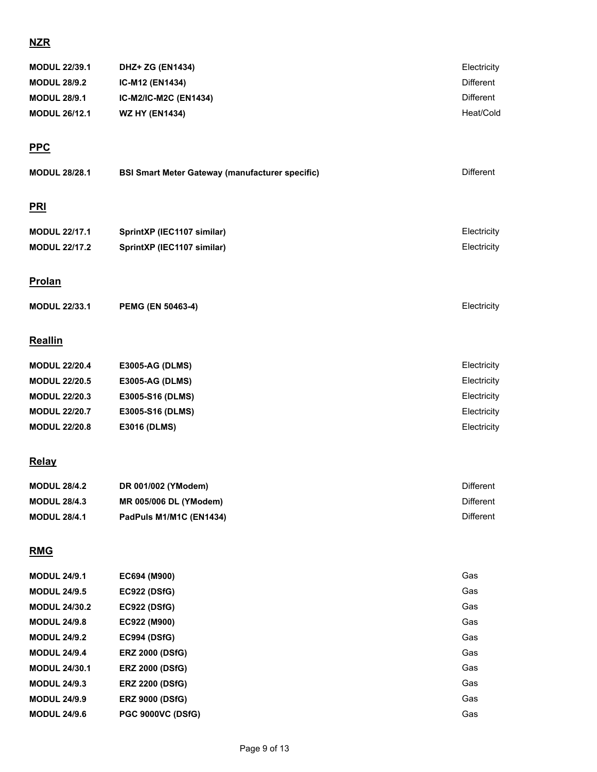# **NZR**

| <b>MODUL 22/39.1</b> | DHZ+ ZG (EN1434)                                       | Electricity      |
|----------------------|--------------------------------------------------------|------------------|
| <b>MODUL 28/9.2</b>  | IC-M12 (EN1434)                                        | Different        |
| <b>MODUL 28/9.1</b>  | IC-M2/IC-M2C (EN1434)                                  | Different        |
| <b>MODUL 26/12.1</b> | <b>WZ HY (EN1434)</b>                                  | Heat/Cold        |
|                      |                                                        |                  |
| <b>PPC</b>           |                                                        |                  |
|                      |                                                        | <b>Different</b> |
| <b>MODUL 28/28.1</b> | <b>BSI Smart Meter Gateway (manufacturer specific)</b> |                  |
|                      |                                                        |                  |
| <u>PRI</u>           |                                                        |                  |
| <b>MODUL 22/17.1</b> | SprintXP (IEC1107 similar)                             | Electricity      |
| <b>MODUL 22/17.2</b> | SprintXP (IEC1107 similar)                             | Electricity      |
|                      |                                                        |                  |
| <b>Prolan</b>        |                                                        |                  |
|                      |                                                        |                  |
| <b>MODUL 22/33.1</b> | PEMG (EN 50463-4)                                      | Electricity      |
|                      |                                                        |                  |
| <b>Reallin</b>       |                                                        |                  |
| <b>MODUL 22/20.4</b> | <b>E3005-AG (DLMS)</b>                                 | Electricity      |
| <b>MODUL 22/20.5</b> | <b>E3005-AG (DLMS)</b>                                 | Electricity      |
| <b>MODUL 22/20.3</b> | E3005-S16 (DLMS)                                       | Electricity      |
| <b>MODUL 22/20.7</b> | E3005-S16 (DLMS)                                       | Electricity      |
| <b>MODUL 22/20.8</b> | <b>E3016 (DLMS)</b>                                    | Electricity      |
|                      |                                                        |                  |
| <b>Relay</b>         |                                                        |                  |
| <b>MODUL 28/4.2</b>  | DR 001/002 (YModem)                                    | <b>Different</b> |
| <b>MODUL 28/4.3</b>  | MR 005/006 DL (YModem)                                 | <b>Different</b> |
| <b>MODUL 28/4.1</b>  | PadPuls M1/M1C (EN1434)                                | <b>Different</b> |
|                      |                                                        |                  |

# **RMG**

| <b>MODUL 24/9.1</b>  | EC694 (M900)             | Gas |
|----------------------|--------------------------|-----|
| <b>MODUL 24/9.5</b>  | <b>EC922 (DSfG)</b>      | Gas |
| <b>MODUL 24/30.2</b> | <b>EC922 (DSfG)</b>      | Gas |
| <b>MODUL 24/9.8</b>  | EC922 (M900)             | Gas |
| <b>MODUL 24/9.2</b>  | <b>EC994 (DSfG)</b>      | Gas |
| <b>MODUL 24/9.4</b>  | <b>ERZ 2000 (DSfG)</b>   | Gas |
| <b>MODUL 24/30.1</b> | <b>ERZ 2000 (DSfG)</b>   | Gas |
| <b>MODUL 24/9.3</b>  | <b>ERZ 2200 (DSfG)</b>   | Gas |
| <b>MODUL 24/9.9</b>  | <b>ERZ 9000 (DSfG)</b>   | Gas |
| <b>MODUL 24/9.6</b>  | <b>PGC 9000VC (DSfG)</b> | Gas |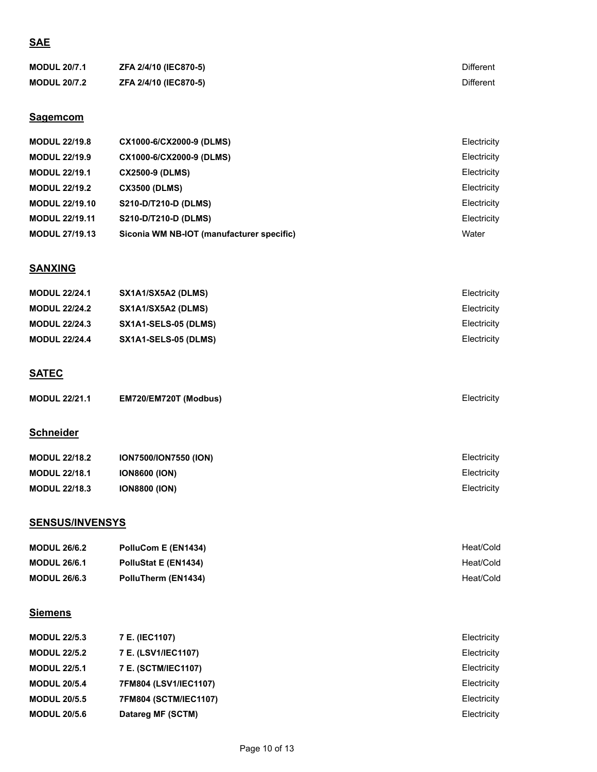# **SAE**

| <b>MODUL 20/7.1</b> | <b>ZFA 2/4/10 (IEC870-5)</b> | Different |
|---------------------|------------------------------|-----------|
| <b>MODUL 20/7.2</b> | <b>ZFA 2/4/10 (IEC870-5)</b> | Different |

#### **Sagemcom**

| <b>MODUL 22/19.8</b>  | CX1000-6/CX2000-9 (DLMS)                  | Electricity |
|-----------------------|-------------------------------------------|-------------|
| <b>MODUL 22/19.9</b>  | CX1000-6/CX2000-9 (DLMS)                  | Electricity |
| <b>MODUL 22/19.1</b>  | <b>CX2500-9 (DLMS)</b>                    | Electricity |
| <b>MODUL 22/19.2</b>  | <b>CX3500 (DLMS)</b>                      | Electricity |
| <b>MODUL 22/19.10</b> | S210-D/T210-D (DLMS)                      | Electricity |
| <b>MODUL 22/19.11</b> | S210-D/T210-D (DLMS)                      | Electricity |
| <b>MODUL 27/19.13</b> | Siconia WM NB-IOT (manufacturer specific) | Water       |

#### **SANXING**

| <b>MODUL 22/24.1</b> | SX1A1/SX5A2 (DLMS)   | Electricity |
|----------------------|----------------------|-------------|
| <b>MODUL 22/24.2</b> | SX1A1/SX5A2 (DLMS)   | Electricity |
| <b>MODUL 22/24.3</b> | SX1A1-SELS-05 (DLMS) | Electricity |
| <b>MODUL 22/24.4</b> | SX1A1-SELS-05 (DLMS) | Electricity |

# **SATEC**

| <b>MODUL 22/21.1</b> | EM720/EM720T (Modbus) | Electricitv |
|----------------------|-----------------------|-------------|
|----------------------|-----------------------|-------------|

# **Schneider**

| <b>MODUL 22/18.2</b> | <b>ION7500/ION7550 (ION)</b> | Electricity |
|----------------------|------------------------------|-------------|
| <b>MODUL 22/18.1</b> | <b>ION8600 (ION)</b>         | Electricity |
| <b>MODUL 22/18.3</b> | <b>ION8800 (ION)</b>         | Electricity |

# **SENSUS/INVENSYS**

| <b>MODUL 26/6.2</b> | PolluCom E (EN1434)  | Heat/Cold |
|---------------------|----------------------|-----------|
| <b>MODUL 26/6.1</b> | PolluStat E (EN1434) | Heat/Cold |
| <b>MODUL 26/6.3</b> | PolluTherm (EN1434)  | Heat/Cold |

# **Siemens**

| <b>MODUL 22/5.3</b> | 7 E. (IEC1107)             | Electricity |
|---------------------|----------------------------|-------------|
| <b>MODUL 22/5.2</b> | 7 E. (LSV1/IEC1107)        | Electricity |
| <b>MODUL 22/5.1</b> | <b>7 E. (SCTM/IEC1107)</b> | Electricity |
| <b>MODUL 20/5.4</b> | 7FM804 (LSV1/IEC1107)      | Electricity |
| <b>MODUL 20/5.5</b> | 7FM804 (SCTM/IEC1107)      | Electricity |
| <b>MODUL 20/5.6</b> | Datareg MF (SCTM)          | Electricity |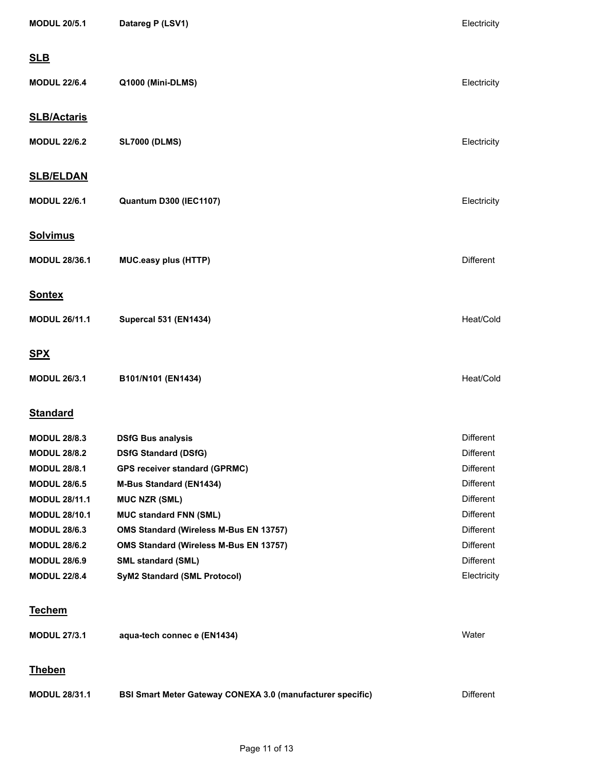| <b>MODUL 20/5.1</b>  | Datareg P (LSV1)                                                  | Electricity      |
|----------------------|-------------------------------------------------------------------|------------------|
| <b>SLB</b>           |                                                                   |                  |
| <b>MODUL 22/6.4</b>  | Q1000 (Mini-DLMS)                                                 | Electricity      |
| <b>SLB/Actaris</b>   |                                                                   |                  |
| <b>MODUL 22/6.2</b>  | <b>SL7000 (DLMS)</b>                                              | Electricity      |
| <b>SLB/ELDAN</b>     |                                                                   |                  |
| <b>MODUL 22/6.1</b>  | <b>Quantum D300 (IEC1107)</b>                                     | Electricity      |
| <b>Solvimus</b>      |                                                                   |                  |
| <b>MODUL 28/36.1</b> | <b>MUC.easy plus (HTTP)</b>                                       | <b>Different</b> |
| <b>Sontex</b>        |                                                                   |                  |
| <b>MODUL 26/11.1</b> | <b>Supercal 531 (EN1434)</b>                                      | Heat/Cold        |
| <b>SPX</b>           |                                                                   |                  |
| <b>MODUL 26/3.1</b>  | B101/N101 (EN1434)                                                | Heat/Cold        |
| <b>Standard</b>      |                                                                   |                  |
| <b>MODUL 28/8.3</b>  | <b>DSfG Bus analysis</b>                                          | <b>Different</b> |
| <b>MODUL 28/8.2</b>  | <b>DSfG Standard (DSfG)</b>                                       | <b>Different</b> |
| <b>MODUL 28/8.1</b>  | <b>GPS receiver standard (GPRMC)</b>                              | Different        |
| <b>MODUL 28/6.5</b>  | <b>M-Bus Standard (EN1434)</b>                                    | Different        |
| <b>MODUL 28/11.1</b> | <b>MUC NZR (SML)</b>                                              | Different        |
| <b>MODUL 28/10.1</b> | <b>MUC standard FNN (SML)</b>                                     | Different        |
| <b>MODUL 28/6.3</b>  | OMS Standard (Wireless M-Bus EN 13757)                            | Different        |
| <b>MODUL 28/6.2</b>  | OMS Standard (Wireless M-Bus EN 13757)                            | Different        |
| <b>MODUL 28/6.9</b>  | <b>SML standard (SML)</b>                                         | Different        |
| <b>MODUL 22/8.4</b>  | <b>SyM2 Standard (SML Protocol)</b>                               | Electricity      |
| <b>Techem</b>        |                                                                   |                  |
| <b>MODUL 27/3.1</b>  | aqua-tech connec e (EN1434)                                       | Water            |
| <b>Theben</b>        |                                                                   |                  |
| <b>MODUL 28/31.1</b> | <b>BSI Smart Meter Gateway CONEXA 3.0 (manufacturer specific)</b> | Different        |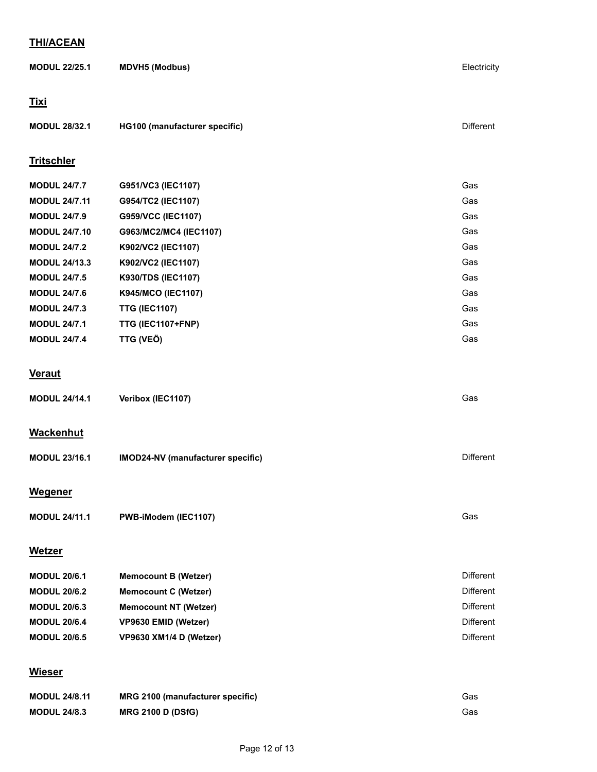#### **THI/ACEAN**

| <u></u>              |                                   |                  |
|----------------------|-----------------------------------|------------------|
| <b>MODUL 22/25.1</b> | <b>MDVH5 (Modbus)</b>             | Electricity      |
| <u>Tixi</u>          |                                   |                  |
| <b>MODUL 28/32.1</b> | HG100 (manufacturer specific)     | <b>Different</b> |
| <b>Tritschler</b>    |                                   |                  |
| <b>MODUL 24/7.7</b>  | G951/VC3 (IEC1107)                | Gas              |
| <b>MODUL 24/7.11</b> | G954/TC2 (IEC1107)                | Gas              |
| <b>MODUL 24/7.9</b>  | G959/VCC (IEC1107)                | Gas              |
| <b>MODUL 24/7.10</b> | G963/MC2/MC4 (IEC1107)            | Gas              |
| <b>MODUL 24/7.2</b>  | K902/VC2 (IEC1107)                | Gas              |
| <b>MODUL 24/13.3</b> | K902/VC2 (IEC1107)                | Gas              |
| <b>MODUL 24/7.5</b>  | K930/TDS (IEC1107)                | Gas              |
| <b>MODUL 24/7.6</b>  | K945/MCO (IEC1107)                | Gas              |
| <b>MODUL 24/7.3</b>  | <b>TTG (IEC1107)</b>              | Gas              |
| <b>MODUL 24/7.1</b>  | TTG (IEC1107+FNP)                 | Gas              |
| <b>MODUL 24/7.4</b>  | TTG (VEÖ)                         | Gas              |
| <b>Veraut</b>        |                                   |                  |
| <b>MODUL 24/14.1</b> | Veribox (IEC1107)                 | Gas              |
| <b>Wackenhut</b>     |                                   |                  |
| <b>MODUL 23/16.1</b> | IMOD24-NV (manufacturer specific) | <b>Different</b> |
| <b>Wegener</b>       |                                   |                  |
| <b>MODUL 24/11.1</b> | PWB-iModem (IEC1107)              | Gas              |
| <b>Wetzer</b>        |                                   |                  |
| <b>MODUL 20/6.1</b>  | <b>Memocount B (Wetzer)</b>       | Different        |
| <b>MODUL 20/6.2</b>  | <b>Memocount C (Wetzer)</b>       | <b>Different</b> |
|                      |                                   |                  |

| <b>MODUL 20/6.3</b> | <b>Memocount NT (Wetzer)</b> | Different |
|---------------------|------------------------------|-----------|
| <b>MODUL 20/6.4</b> | VP9630 EMID (Wetzer)         | Different |
| <b>MODUL 20/6.5</b> | VP9630 XM1/4 D (Wetzer)      | Different |

# **Wieser**

| <b>MODUL 24/8.11</b> | MRG 2100 (manufacturer specific) | Gas |
|----------------------|----------------------------------|-----|
| <b>MODUL 24/8.3</b>  | <b>MRG 2100 D (DSfG)</b>         | Gas |